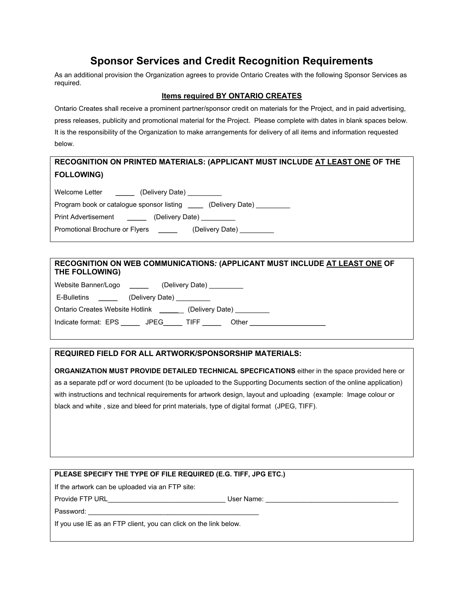# **Sponsor Services and Credit Recognition Requirements**

As an additional provision the Organization agrees to provide Ontario Creates with the following Sponsor Services as required.

#### **Items required BY ONTARIO CREATES**

Ontario Creates shall receive a prominent partner/sponsor credit on materials for the Project, and in paid advertising, press releases, publicity and promotional material for the Project. Please complete with dates in blank spaces below. It is the responsibility of the Organization to make arrangements for delivery of all items and information requested below.

### **RECOGNITION ON PRINTED MATERIALS: (APPLICANT MUST INCLUDE AT LEAST ONE OF THE FOLLOWING)**

Welcome Letter \_\_\_\_\_\_\_\_ (Delivery Date)

Program book or catalogue sponsor listing \_\_\_\_ (Delivery Date) \_\_\_\_\_\_\_

Print Advertisement \_\_\_\_\_\_\_\_ (Delivery Date) \_\_\_\_\_

Promotional Brochure or Flyers \_\_\_\_\_ (Delivery Date) \_\_\_\_\_\_

#### **RECOGNITION ON WEB COMMUNICATIONS***:* **(APPLICANT MUST INCLUDE AT LEAST ONE OF THE FOLLOWING)**

| Website Banner/Logo                                                                                                                                                                                                                                 |                           | (Delivery Date)           |                           |
|-----------------------------------------------------------------------------------------------------------------------------------------------------------------------------------------------------------------------------------------------------|---------------------------|---------------------------|---------------------------|
| E-Bulletins<br><u>and the company of the company of the company of the company of the company of the company of the company of the company of the company of the company of the company of the company of the company of the company of the com</u> | (Delivery Date) _________ |                           |                           |
| Ontario Creates Website Hotlink _______                                                                                                                                                                                                             |                           |                           | (Delivery Date) _________ |
| Indicate format: EPS JPEG                                                                                                                                                                                                                           |                           | TIFF $\rule{1em}{0.15mm}$ | Other                     |

#### **REQUIRED FIELD FOR ALL ARTWORK/SPONSORSHIP MATERIALS:**

**ORGANIZATION MUST PROVIDE DETAILED TECHNICAL SPECFICATIONS** either in the space provided here or as a separate pdf or word document (to be uploaded to the Supporting Documents section of the online application) with instructions and technical requirements for artwork design, layout and uploading (example: Image colour or black and white , size and bleed for print materials, type of digital format (JPEG, TIFF).

| PLEASE SPECIFY THE TYPE OF FILE REQUIRED (E.G. TIFF, JPG ETC.)                                                                                                                                                                 |                                 |  |  |  |
|--------------------------------------------------------------------------------------------------------------------------------------------------------------------------------------------------------------------------------|---------------------------------|--|--|--|
| If the artwork can be uploaded via an FTP site:                                                                                                                                                                                |                                 |  |  |  |
| Provide FTP URL And the control of the control of the control of the control of the control of the control of the control of the control of the control of the control of the control of the control of the control of the con | User Name: <u>_____________</u> |  |  |  |
| Password:                                                                                                                                                                                                                      |                                 |  |  |  |
| If you use IE as an FTP client, you can click on the link below.                                                                                                                                                               |                                 |  |  |  |